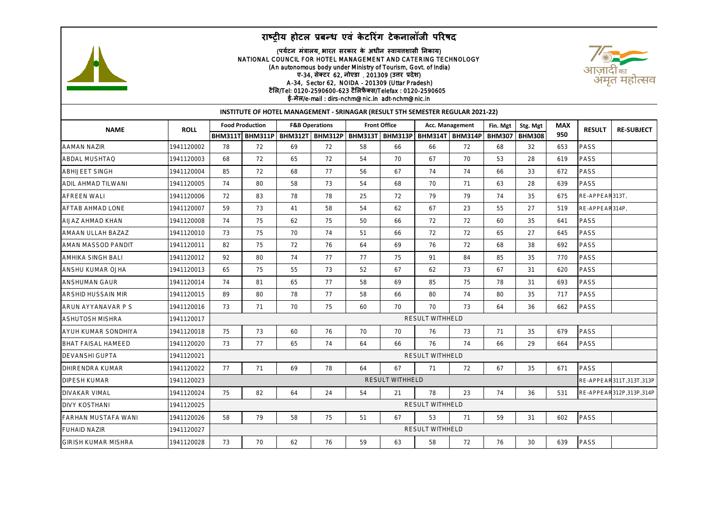## **राष्ट्रीय होटल प्रबन्ध एवं केटररगं टेकनालॉजी पररषद**



## (**पर्टय न मंत्रालर्**, **भारत सरकार के अधीन स्वार्त्तशासी ननकार्**) NATIONAL COUNCIL FOR HOTEL MANAGEMENT AND CATERING TECHNOLOGY (An autonomous body under Ministry of Tourism, Govt. of India) **ए**-34, **सेक्टर** 62, **नोएडा** 201309 (**उत्तर प्रदेश**) A-34, Sector 62, NOIDA - 201309 (Uttar Pradesh) **टैलल**/Tel: 0120-2590600-623 **टैललफैक्स**/Telefax : 0120-2590605 **ई**-**मेल**/e-mail : dirs-nchm@nic.in adt-nchm@nic.in



| INSTITUTE OF HOTEL MANAGEMENT - SRINAGAR (RESULT 5TH SEMESTER REGULAR 2021-22) |             |                        |                                                          |                           |    |                     |    |                        |                 |               |               |            |                |                         |
|--------------------------------------------------------------------------------|-------------|------------------------|----------------------------------------------------------|---------------------------|----|---------------------|----|------------------------|-----------------|---------------|---------------|------------|----------------|-------------------------|
| <b>NAME</b>                                                                    | <b>ROLL</b> | <b>Food Production</b> |                                                          | <b>F&amp;B Operations</b> |    | <b>Front Office</b> |    | Acc. Management        |                 | Fin. Mgt      | Stg. Mgt      | <b>MAX</b> | <b>RESULT</b>  |                         |
|                                                                                |             |                        | ВНМ311T  ВНМ311P   ВНМ312T   ВНМ312P   ВНМ313T   ВНМ313P |                           |    |                     |    |                        | BHM314T BHM314P | <b>BHM307</b> | <b>BHM308</b> | 950        |                | <b>RE-SUBJECT</b>       |
| <b>AAMAN NAZIR</b>                                                             | 1941120002  | 78                     | 72                                                       | 69                        | 72 | 58                  | 66 | 66                     | 72              | 68            | 32            | 653        | PASS           |                         |
| <b>ABDAL MUSHTAQ</b>                                                           | 1941120003  | 68                     | 72                                                       | 65                        | 72 | 54                  | 70 | 67                     | 70              | 53            | 28            | 619        | PASS           |                         |
| <b>ABHIJEET SINGH</b>                                                          | 1941120004  | 85                     | 72                                                       | 68                        | 77 | 56                  | 67 | 74                     | 74              | 66            | 33            | 672        | PASS           |                         |
| <b>ADIL AHMAD TILWANI</b>                                                      | 1941120005  | 74                     | 80                                                       | 58                        | 73 | 54                  | 68 | 70                     | 71              | 63            | 28            | 639        | PASS           |                         |
| <b>AFREEN WALL</b>                                                             | 1941120006  | 72                     | 83                                                       | 78                        | 78 | 25                  | 72 | 79                     | 79              | 74            | 35            | 675        | RE-APPEAR313T, |                         |
| <b>AFTAB AHMAD LONE</b>                                                        | 1941120007  | 59                     | 73                                                       | 41                        | 58 | 54                  | 62 | 67                     | 23              | 55            | 27            | 519        | RE-APPEAR314P. |                         |
| AIJAZ AHMAD KHAN                                                               | 1941120008  | 74                     | 75                                                       | 62                        | 75 | 50                  | 66 | 72                     | 72              | 60            | 35            | 641        | PASS           |                         |
| AMAAN ULLAH BAZAZ                                                              | 1941120010  | 73                     | 75                                                       | 70                        | 74 | 51                  | 66 | 72                     | 72              | 65            | 27            | 645        | PASS           |                         |
| AMAN MASSOD PANDIT                                                             | 1941120011  | 82                     | 75                                                       | 72                        | 76 | 64                  | 69 | 76                     | 72              | 68            | 38            | 692        | PASS           |                         |
| AMHIKA SINGH BALI                                                              | 1941120012  | 92                     | 80                                                       | 74                        | 77 | 77                  | 75 | 91                     | 84              | 85            | 35            | 770        | PASS           |                         |
| ANSHU KUMAR OJHA                                                               | 1941120013  | 65                     | 75                                                       | 55                        | 73 | 52                  | 67 | 62                     | 73              | 67            | 31            | 620        | PASS           |                         |
| ANSHUMAN GAUR                                                                  | 1941120014  | 74                     | 81                                                       | 65                        | 77 | 58                  | 69 | 85                     | 75              | 78            | 31            | 693        | PASS           |                         |
| ARSHID HUSSAIN MIR                                                             | 1941120015  | 89                     | 80                                                       | 78                        | 77 | 58                  | 66 | 80                     | 74              | 80            | 35            | 717        | PASS           |                         |
| ARUN AYYANAVAR P S                                                             | 1941120016  | 73                     | 71                                                       | 70                        | 75 | 60                  | 70 | 70                     | 73              | 64            | 36            | 662        | PASS           |                         |
| <b>ASHUTOSH MISHRA</b>                                                         | 1941120017  |                        |                                                          |                           |    |                     |    | RESULT WITHHELD        |                 |               |               |            |                |                         |
| AYUH KUMAR SONDHIYA                                                            | 1941120018  | 75                     | 73                                                       | 60                        | 76 | 70                  | 70 | 76                     | 73              | 71            | 35            | 679        | PASS           |                         |
| <b>BHAT FAISAL HAMEED</b>                                                      | 1941120020  | 73                     | 77                                                       | 65                        | 74 | 64                  | 66 | 76                     | 74              | 66            | 29            | 664        | PASS           |                         |
| <b>DEVANSHI GUPTA</b>                                                          | 1941120021  |                        |                                                          |                           |    |                     |    | <b>RESULT WITHHELD</b> |                 |               |               |            |                |                         |
| DHIRENDRA KUMAR                                                                | 1941120022  | 77                     | 71                                                       | 69                        | 78 | 64                  | 67 | 71                     | 72              | 67            | 35            | 671        | PASS           |                         |
| DIPESH KUMAR                                                                   | 1941120023  |                        | RESULT WITHHELD<br>RE-APPEAR311T,313T,313P               |                           |    |                     |    |                        |                 |               |               |            |                |                         |
| <b>DIVAKAR VIMAL</b>                                                           | 1941120024  | 75                     | 82                                                       | 64                        | 24 | 54                  | 21 | 78                     | 23              | 74            | 36            | 531        |                | RE-APPEAR312P.313P.314P |
| <b>DIVY KOSTHANI</b>                                                           | 1941120025  | RESULT WITHHELD        |                                                          |                           |    |                     |    |                        |                 |               |               |            |                |                         |
| FARHAN MUSTAFA WANI                                                            | 1941120026  | 58                     | 79                                                       | 58                        | 75 | 51                  | 67 | 53                     | 71              | 59            | 31            | 602        | PASS           |                         |
| <b>FUHAID NAZIR</b>                                                            | 1941120027  |                        |                                                          |                           |    |                     |    | RESULT WITHHELD        |                 |               |               |            |                |                         |
| <b>GIRISH KUMAR MISHRA</b>                                                     | 1941120028  | 73                     | 70                                                       | 62                        | 76 | 59                  | 63 | 58                     | 72              | 76            | 30            | 639        | PASS           |                         |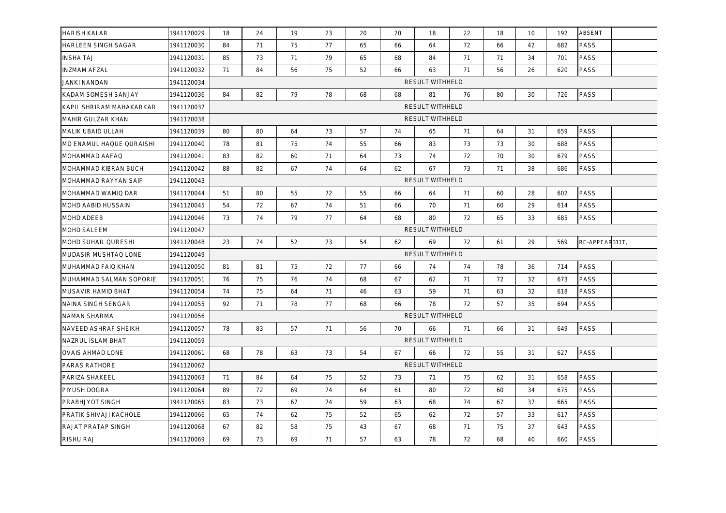| <b>HARISH KALAR</b>      | 1941120029 | 18                     | 24                     | 19 | 23 | 20 | 20 | 18                     | 22 | 18 | 10 | 192 | ABSENT         |  |
|--------------------------|------------|------------------------|------------------------|----|----|----|----|------------------------|----|----|----|-----|----------------|--|
| HARLEEN SINGH SAGAR      | 1941120030 | 84                     | 71                     | 75 | 77 | 65 | 66 | 64                     | 72 | 66 | 42 | 682 | PASS           |  |
| <b>INSHA TAJ</b>         | 1941120031 | 85                     | 73                     | 71 | 79 | 65 | 68 | 84                     | 71 | 71 | 34 | 701 | PASS           |  |
| <b>INZMAM AFZAL</b>      | 1941120032 | 71                     | 84                     | 56 | 75 | 52 | 66 | 63                     | 71 | 56 | 26 | 620 | PASS           |  |
| JANKI NANDAN             | 1941120034 |                        | <b>RESULT WITHHELD</b> |    |    |    |    |                        |    |    |    |     |                |  |
| KADAM SOMESH SANJAY      | 1941120036 | 84                     | 82                     | 79 | 78 | 68 | 68 | 81                     | 76 | 80 | 30 | 726 | PASS           |  |
| KAPIL SHRIRAM MAHAKARKAR | 1941120037 | <b>RESULT WITHHELD</b> |                        |    |    |    |    |                        |    |    |    |     |                |  |
| MAHIR GULZAR KHAN        | 1941120038 |                        | RESULT WITHHELD        |    |    |    |    |                        |    |    |    |     |                |  |
| MALIK UBAID ULLAH        | 1941120039 | 80                     | 80                     | 64 | 73 | 57 | 74 | 65                     | 71 | 64 | 31 | 659 | PASS           |  |
| MD ENAMUL HAQUE QURAISHI | 1941120040 | 78                     | 81                     | 75 | 74 | 55 | 66 | 83                     | 73 | 73 | 30 | 688 | PASS           |  |
| MOHAMMAD AAFAQ           | 1941120041 | 83                     | 82                     | 60 | 71 | 64 | 73 | 74                     | 72 | 70 | 30 | 679 | PASS           |  |
| MOHAMMAD KIBRAN BUCH     | 1941120042 | 88                     | 82                     | 67 | 74 | 64 | 62 | 67                     | 73 | 71 | 38 | 686 | PASS           |  |
| MOHAMMAD RAYYAN SAIF     | 1941120043 |                        | RESULT WITHHELD        |    |    |    |    |                        |    |    |    |     |                |  |
| MOHAMMAD WAMIQ DAR       | 1941120044 | 51                     | 80                     | 55 | 72 | 55 | 66 | 64                     | 71 | 60 | 28 | 602 | PASS           |  |
| MOHD AABID HUSSAIN       | 1941120045 | 54                     | 72                     | 67 | 74 | 51 | 66 | 70                     | 71 | 60 | 29 | 614 | PASS           |  |
| MOHD ADEEB               | 1941120046 | 73                     | 74                     | 79 | 77 | 64 | 68 | 80                     | 72 | 65 | 33 | 685 | PASS           |  |
| MOHD SALEEM              | 1941120047 |                        |                        |    |    |    |    | <b>RESULT WITHHELD</b> |    |    |    |     |                |  |
| MOHD SUHAIL QURESHI      | 1941120048 | 23                     | 74                     | 52 | 73 | 54 | 62 | 69                     | 72 | 61 | 29 | 569 | RE-APPEAR311T, |  |
| MUDASIR MUSHTAQ LONE     | 1941120049 |                        |                        |    |    |    |    | RESULT WITHHELD        |    |    |    |     |                |  |
| MUHAMMAD FAIQ KHAN       | 1941120050 | 81                     | 81                     | 75 | 72 | 77 | 66 | 74                     | 74 | 78 | 36 | 714 | PASS           |  |
| MUHAMMAD SALMAN SOPORIE  | 1941120051 | 76                     | 75                     | 76 | 74 | 68 | 67 | 62                     | 71 | 72 | 32 | 673 | PASS           |  |
| MUSAVIR HAMID BHAT       | 1941120054 | 74                     | 75                     | 64 | 71 | 46 | 63 | 59                     | 71 | 63 | 32 | 618 | PASS           |  |
| NAINA SINGH SENGAR       | 1941120055 | 92                     | 71                     | 78 | 77 | 68 | 66 | 78                     | 72 | 57 | 35 | 694 | PASS           |  |
| NAMAN SHARMA             | 1941120056 |                        | <b>RESULT WITHHELD</b> |    |    |    |    |                        |    |    |    |     |                |  |
| NAVEED ASHRAF SHEIKH     | 1941120057 | 78                     | 83                     | 57 | 71 | 56 | 70 | 66                     | 71 | 66 | 31 | 649 | PASS           |  |
| NAZRUL ISLAM BHAT        | 1941120059 |                        | <b>RESULT WITHHELD</b> |    |    |    |    |                        |    |    |    |     |                |  |
| <b>OVAIS AHMAD LONE</b>  | 1941120061 | 68                     | 78                     | 63 | 73 | 54 | 67 | 66                     | 72 | 55 | 31 | 627 | PASS           |  |
| PARAS RATHORE            | 1941120062 | RESULT WITHHELD        |                        |    |    |    |    |                        |    |    |    |     |                |  |
| PARIZA SHAKEEL           | 1941120063 | 71                     | 84                     | 64 | 75 | 52 | 73 | 71                     | 75 | 62 | 31 | 658 | PASS           |  |
| PIYUSH DOGRA             | 1941120064 | 89                     | 72                     | 69 | 74 | 64 | 61 | 80                     | 72 | 60 | 34 | 675 | PASS           |  |
| PRABHJYOT SINGH          | 1941120065 | 83                     | 73                     | 67 | 74 | 59 | 63 | 68                     | 74 | 67 | 37 | 665 | PASS           |  |
| PRATIK SHIVAJI KACHOLE   | 1941120066 | 65                     | 74                     | 62 | 75 | 52 | 65 | 62                     | 72 | 57 | 33 | 617 | PASS           |  |
| RAJAT PRATAP SINGH       | 1941120068 | 67                     | 82                     | 58 | 75 | 43 | 67 | 68                     | 71 | 75 | 37 | 643 | PASS           |  |
| RISHU RAJ                | 1941120069 | 69                     | 73                     | 69 | 71 | 57 | 63 | 78                     | 72 | 68 | 40 | 660 | PASS           |  |